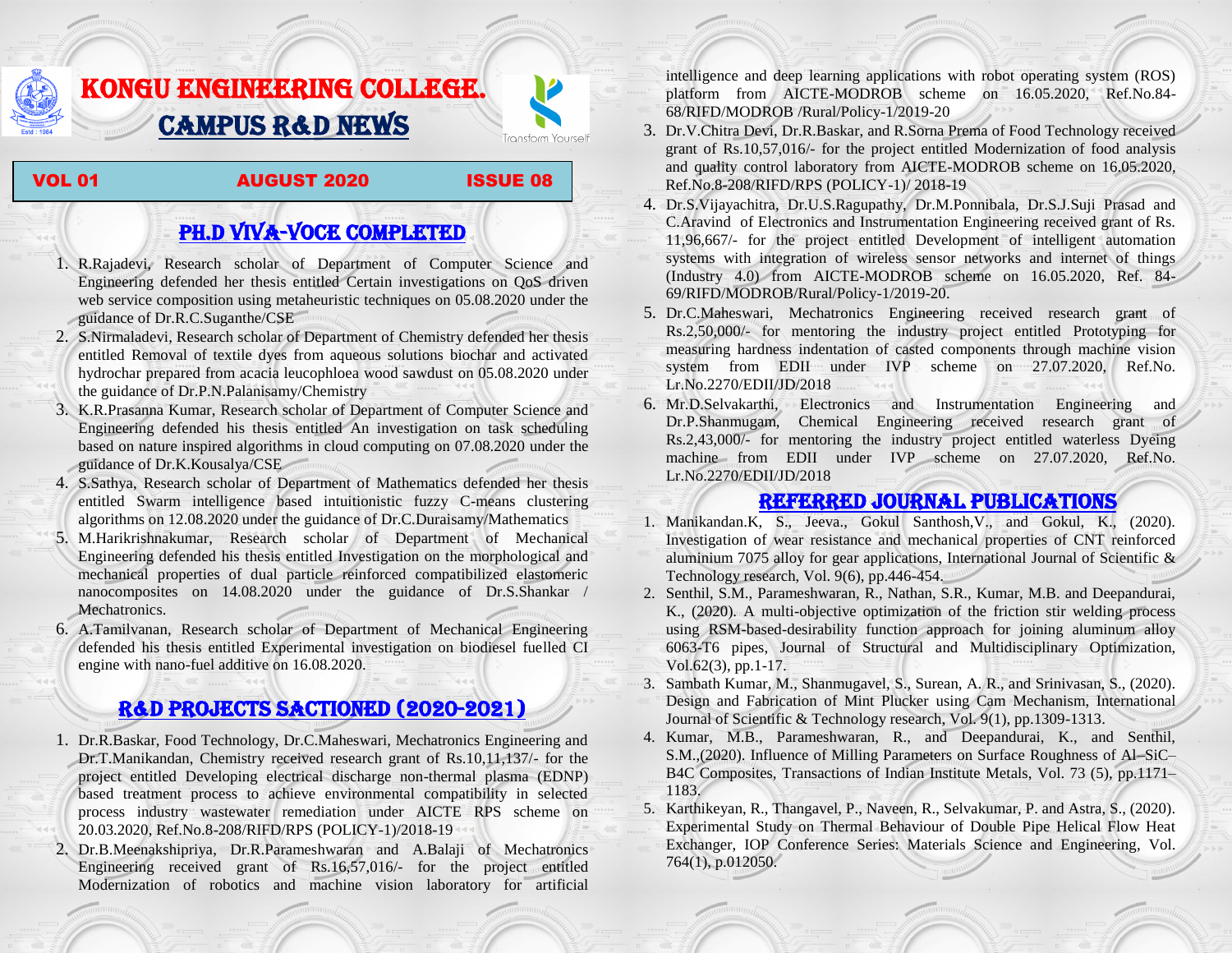# KONGU ENGINEERING COLLEGE. CAMPUS R&D NEWS



#### VOL 01 **AUGUST 2020** ISSUE 08

## PH.D VIVA-VOCE COMPLETED

- 1. R.Rajadevi, Research scholar of Department of Computer Science and Engineering defended her thesis entitled Certain investigations on QoS driven web service composition using metaheuristic techniques on 05.08.2020 under the guidance of Dr.R.C.Suganthe/CSE
- 2. S.Nirmaladevi, Research scholar of Department of Chemistry defended her thesis entitled Removal of textile dyes from aqueous solutions biochar and activated hydrochar prepared from acacia leucophloea wood sawdust on 05.08.2020 under the guidance of Dr.P.N.Palanisamy/Chemistry
- 3. K.R.Prasanna Kumar, Research scholar of Department of Computer Science and Engineering defended his thesis entitled An investigation on task scheduling based on nature inspired algorithms in cloud computing on 07.08.2020 under the guidance of Dr.K.Kousalya/CSE
- 4. S.Sathya, Research scholar of Department of Mathematics defended her thesis entitled Swarm intelligence based intuitionistic fuzzy C-means clustering algorithms on 12.08.2020 under the guidance of Dr.C.Duraisamy/Mathematics
- 5. M.Harikrishnakumar, Research scholar of Department of Mechanical Engineering defended his thesis entitled Investigation on the morphological and mechanical properties of dual particle reinforced compatibilized elastomeric nanocomposites on 14.08.2020 under the guidance of Dr.S.Shankar / Mechatronics.
- 6. A.Tamilvanan, Research scholar of Department of Mechanical Engineering defended his thesis entitled Experimental investigation on biodiesel fuelled CI engine with nano-fuel additive on 16.08.2020.

### R&D PROJECTS SACTIONED (2020-2021)

- 1. Dr.R.Baskar, Food Technology, Dr.C.Maheswari, Mechatronics Engineering and Dr.T.Manikandan, Chemistry received research grant of Rs.10,11,137/- for the project entitled Developing electrical discharge non-thermal plasma (EDNP) based treatment process to achieve environmental compatibility in selected process industry wastewater remediation under AICTE RPS scheme on 20.03.2020, Ref.No.8-208/RIFD/RPS (POLICY-1)/2018-19
- 2. Dr.B.Meenakshipriya, Dr.R.Parameshwaran and A.Balaji of Mechatronics Engineering received grant of Rs.16,57,016/- for the project entitled Modernization [of robotics and machine vision laboratory for](http://rnd.kongu.edu/ractivities/mts/data/) artificial

[intelligence and deep learning applications with robot operating system \(ROS\)](http://rnd.kongu.edu/ractivities/mts/data/)  [platform](http://rnd.kongu.edu/ractivities/mts/data/) from AICTE-MODROB scheme on 16.05.2020, Ref.No.84- 68/RIFD/MODROB /Rural/Policy-1/2019-20

- 3. Dr.V.Chitra Devi, Dr.R.Baskar, and R.Sorna Prema of Food Technology received grant of Rs.10,57,016/- for the project entitled Modernization of food analysis and quality control laboratory from AICTE-MODROB scheme on 16.05.2020, Ref.No.8-208/RIFD/RPS (POLICY-1)/ 2018-19
- 4. Dr.S.Vijayachitra, Dr.U.S.Ragupathy, Dr.M.Ponnibala, Dr.S.J.Suji Prasad and C.Aravind of Electronics and Instrumentation Engineering received grant of Rs. 11,96,667/- for the project entitled Development of intelligent automation systems with integration of wireless sensor networks and internet of things (Industry 4.0) from AICTE-MODROB scheme on 16.05.2020, Ref. 84- 69/RIFD/MODROB/Rural/Policy-1/2019-20.
- 5. Dr.C.Maheswari, Mechatronics Engineering received research grant of Rs.2,50,000/- for mentoring the industry project entitled [Prototyping for](http://rnd.kongu.edu/ractivities/mts/data/)  [measuring hardness indentation of casted components through machine vision](http://rnd.kongu.edu/ractivities/mts/data/)  [system](http://rnd.kongu.edu/ractivities/mts/data/) from EDII under IVP scheme on 27.07.2020, Ref.No. Lr.No.2270/EDII/JD/2018
- 6. Mr.D.Selvakarthi, Electronics and Instrumentation Engineering and Dr.P.Shanmugam, Chemical Engineering received research grant of Rs.2,43,000/- for mentoring the industry project entitled waterless Dyeing machine from EDII under IVP scheme on 27.07.2020, Ref.No. Lr.No.2270/EDII/JD/2018

### Referred JOURNAL publications

- 1. Manikandan.K, S., Jeeva., Gokul Santhosh,V., and Gokul, K., (2020). Investigation of wear resistance and mechanical properties of CNT reinforced aluminium 7075 alloy for gear applications, International Journal of Scientific & Technology research, Vol. 9(6), pp.446-454.
- 2. Senthil, S.M., Parameshwaran, R., Nathan, S.R., Kumar, M.B. and Deepandurai, K., (2020). A multi-objective optimization of the friction stir welding process using RSM-based-desirability function approach for joining aluminum alloy 6063-T6 pipes, Journal of Structural and Multidisciplinary Optimization, Vol.62(3), pp.1-17.
- 3. Sambath Kumar, M., Shanmugavel, S., Surean, A. R., and Srinivasan, S., (2020). Design and Fabrication of Mint Plucker using Cam Mechanism, International Journal of Scientific & Technology research, Vol. 9(1), pp.1309-1313.
- 4. Kumar, M.B., Parameshwaran, R., and Deepandurai, K., and Senthil, S.M.,(2020). Influence of Milling Parameters on Surface Roughness of Al–SiC– B4C Composites, Transactions of Indian Institute Metals, Vol. 73 (5), pp.1171– 1183.
- 5. Karthikeyan, R., Thangavel, P., Naveen, R., Selvakumar, P. and Astra, S., (2020). Experimental Study on Thermal Behaviour of Double Pipe Helical Flow Heat Exchanger, [IOP Conference Series: Materials Science and Engineering,](https://iopscience.iop.org/journal/1757-899X) Vol. 764(1), p.012050.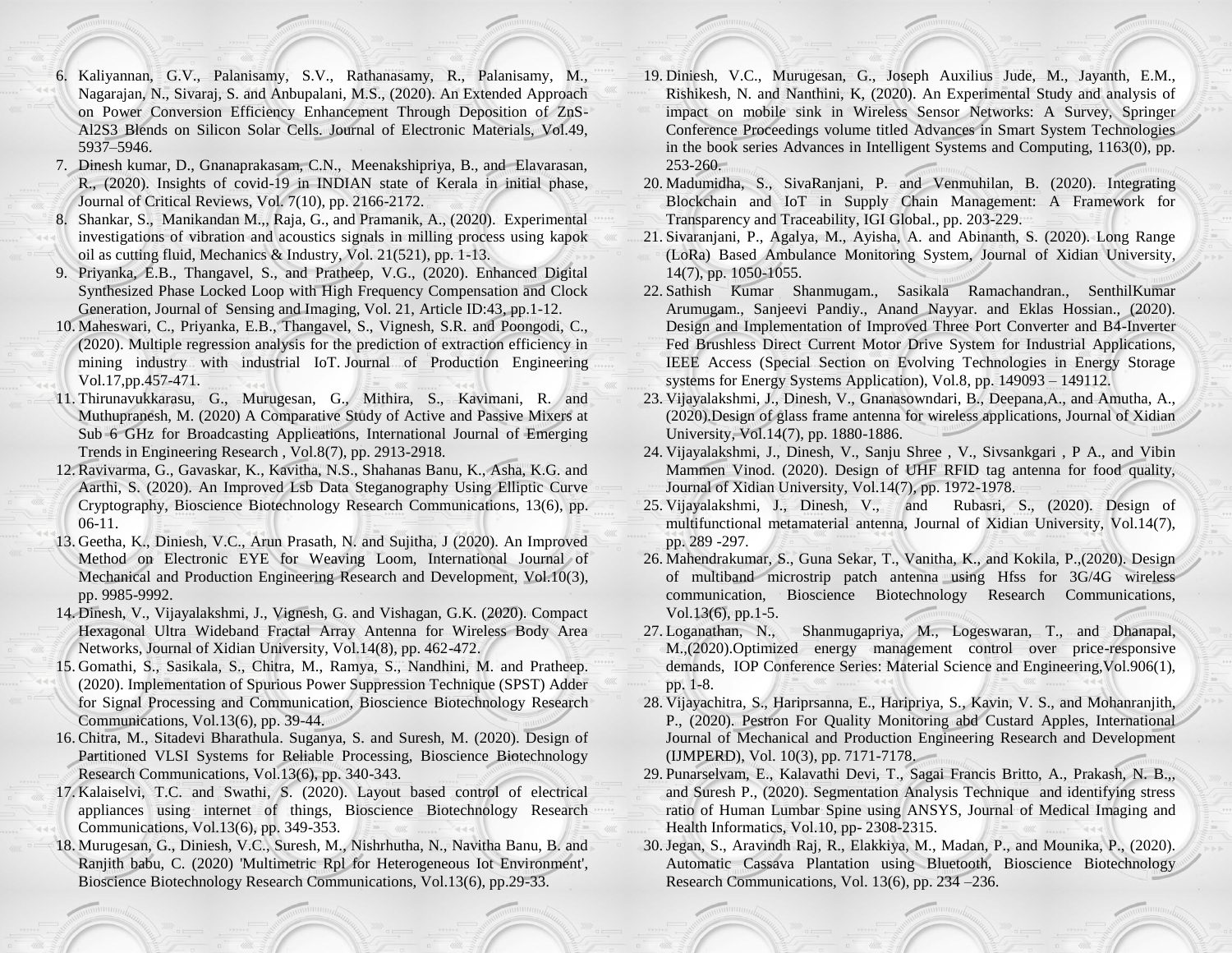- 6. Kaliyannan, G.V., Palanisamy, S.V., Rathanasamy, R., Palanisamy, M., Nagarajan, N., Sivaraj, S. and Anbupalani, M.S., (2020). An Extended Approach on Power Conversion Efficiency Enhancement Through Deposition of ZnS-Al2S3 Blends on Silicon Solar Cells. Journal of Electronic Materials, Vol.49, 5937–5946.
- 7. Dinesh kumar, D., Gnanaprakasam, C.N., Meenakshipriya, B., and Elavarasan, R., (2020). Insights of covid-19 in INDIAN state of Kerala in initial phase, Journal of Critical Reviews, Vol. 7(10), pp. 2166-2172.
- 8. Shankar, S., Manikandan M.,, Raja, G., and Pramanik, A., (2020). Experimental investigations of vibration and acoustics signals in milling process using kapok oil as cutting fluid, Mechanics & Industry, Vol. 21(521), pp. 1-13.
- 9. Priyanka, E.B., Thangavel, S., and Pratheep, V.G., (2020). Enhanced Digital Synthesized Phase Locked Loop with High Frequency Compensation and Clock Generation, Journal of Sensing and Imaging, Vol. 21, Article ID:43, pp.1-12.
- 10. Maheswari, C., Priyanka, E.B., Thangavel, S., Vignesh, S.R. and Poongodi, C., (2020). Multiple regression analysis for the prediction of extraction efficiency in mining industry with industrial IoT. Journal of Production Engineering Vol.17,pp.457-471.
- 11. Thirunavukkarasu, G., Murugesan, G., Mithira, S., Kavimani, R. and Muthupranesh, M. (2020) A Comparative Study of Active and Passive Mixers at Sub 6 GHz for Broadcasting Applications, International Journal of Emerging Trends in Engineering Research , Vol.8(7), pp. 2913-2918.
- 12. Ravivarma, G., Gavaskar, K., Kavitha, N.S., Shahanas Banu, K., Asha, K.G. and Aarthi, S. (2020). An Improved Lsb Data Steganography Using Elliptic Curve Cryptography, Bioscience Biotechnology Research Communications, 13(6), pp. 06-11.
- 13. Geetha, K., Diniesh, V.C., Arun Prasath, N. and Sujitha, J (2020). An Improved Method on Electronic EYE for Weaving Loom, International Journal of Mechanical and Production Engineering Research and Development, Vol.10(3), pp. 9985-9992.
- 14. Dinesh, V., Vijayalakshmi, J., Vignesh, G. and Vishagan, G.K. (2020). Compact Hexagonal Ultra Wideband Fractal Array Antenna for Wireless Body Area Networks, Journal of Xidian University, Vol.14(8), pp. 462-472.
- 15. Gomathi, S., Sasikala, S., Chitra, M., Ramya, S., Nandhini, M. and Pratheep. (2020). Implementation of Spurious Power Suppression Technique (SPST) Adder for Signal Processing and Communication, Bioscience Biotechnology Research Communications, Vol.13(6), pp. 39-44.
- 16. Chitra, M., Sitadevi Bharathula. Suganya, S. and Suresh, M. (2020). Design of Partitioned VLSI Systems for Reliable Processing, Bioscience Biotechnology Research Communications, Vol.13(6), pp. 340-343.
- 17. Kalaiselvi, T.C. and Swathi, S. (2020). Layout based control of electrical appliances using internet of things, Bioscience Biotechnology Research Communications, Vol.13(6), pp. 349-353.
- 18. Murugesan, G., Diniesh, V.C., Suresh, M., Nishrhutha, N., Navitha Banu, B. and Ranjith babu, C. (2020) 'Multimetric Rpl for Heterogeneous Iot Environment', Bioscience Biotechnology Research Communications, Vol.13(6), pp.29-33.
- 19. Diniesh, V.C., Murugesan, G., Joseph Auxilius Jude, M., Jayanth, E.M., Rishikesh, N. and Nanthini, K, (2020). An Experimental Study and analysis of impact on mobile sink in Wireless Sensor Networks: A Survey, Springer Conference Proceedings volume titled Advances in Smart System Technologies in the book series Advances in Intelligent Systems and Computing, 1163(0), pp. 253-260.
- 20. Madumidha, S., SivaRanjani, P. and Venmuhilan, B. (2020). Integrating Blockchain and IoT in Supply Chain Management: A Framework for Transparency and Traceability, IGI Global., pp. 203-229.
- 21. Sivaranjani, P., Agalya, M., Ayisha, A. and Abinanth, S. (2020). Long Range (LoRa) Based Ambulance Monitoring System, Journal of Xidian University, 14(7), pp. 1050-1055.
- 22. Sathish Kumar Shanmugam., Sasikala Ramachandran., SenthilKumar Arumugam., Sanjeevi Pandiy., Anand Nayyar. and Eklas Hossian., (2020). Design and Implementation of Improved Three Port Converter and B4-Inverter Fed Brushless Direct Current Motor Drive System for Industrial Applications, IEEE Access (Special Section on Evolving Technologies in Energy Storage systems for Energy Systems Application), Vol.8, pp. 149093 – 149112.
- 23. Vijayalakshmi, J., Dinesh, V., Gnanasowndari, B., Deepana,A., and Amutha, A., (2020).Design of glass frame antenna for wireless applications, Journal of Xidian University, Vol.14(7), pp. 1880-1886.
- 24. Vijayalakshmi, J., Dinesh, V., Sanju Shree , V., Sivsankgari , P A., and Vibin Mammen Vinod. (2020). Design of UHF RFID tag antenna for food quality, Journal of Xidian University, Vol.14(7), pp. 1972-1978.
- 25. Vijayalakshmi, J., Dinesh, V., and Rubasri, S., (2020). Design of multifunctional metamaterial antenna, Journal of Xidian University, Vol.14(7), pp. 289 -297.
- 26. Mahendrakumar, S., Guna Sekar, T., Vanitha, K., and Kokila, P.,(2020). Design of multiband microstrip patch antenna using Hfss for 3G/4G wireless communication, Bioscience Biotechnology Research Communications, Vol.13(6), pp.1-5.
- 27. Loganathan, N., Shanmugapriya, M., Logeswaran, T., and Dhanapal, M.,(2020).Optimized energy management control over price-responsive demands, IOP Conference Series: Material Science and Engineering,Vol.906(1), pp. 1-8.
- 28. Vijayachitra, S., Hariprsanna, E., Haripriya, S., Kavin, V. S., and Mohanranjith, P., (2020). Pestron For Quality Monitoring abd Custard Apples, International Journal of Mechanical and Production Engineering Research and Development (IJMPERD), Vol. 10(3), pp. 7171-7178.
- 29. Punarselvam, E., Kalavathi Devi, T., Sagai Francis Britto, A., Prakash, N. B.,, and Suresh P., (2020). Segmentation Analysis Technique and identifying stress ratio of Human Lumbar Spine using ANSYS, Journal of Medical Imaging and Health Informatics, Vol.10, pp- 2308-2315.
- 30.Jegan, S., Aravindh Raj, R., Elakkiya, M., Madan, P., and Mounika, P., (2020). Automatic Cassava Plantation using Bluetooth, Bioscience Biotechnology Research Communications, Vol. 13(6), pp. 234 –236.